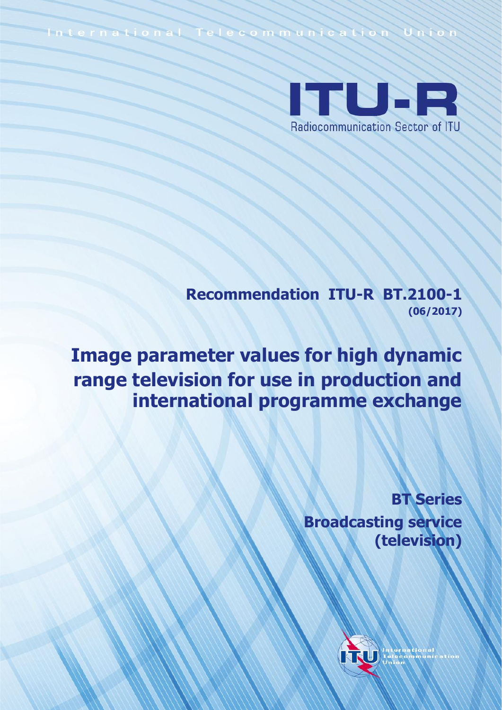International Telecommunication Unio



**Recommendation ITU-R BT.2100-1 (06/2017)**

**Image parameter values for high dynamic range television for use in production and international programme exchange**

> **BT Series Broadcasting service (television)**

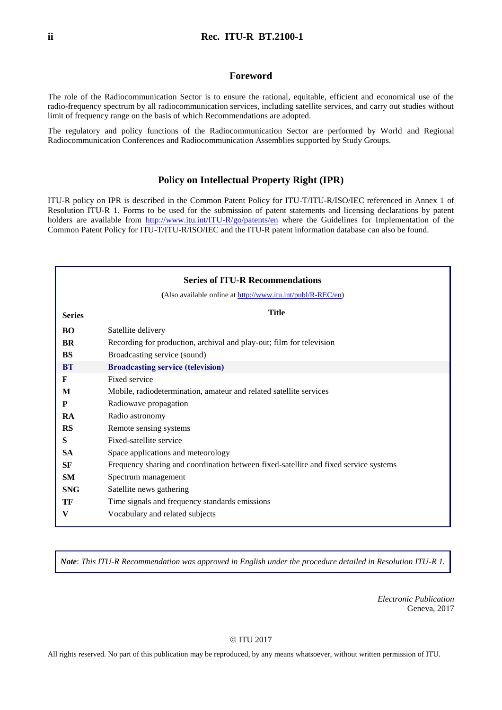#### **Foreword**

The role of the Radiocommunication Sector is to ensure the rational, equitable, efficient and economical use of the radio-frequency spectrum by all radiocommunication services, including satellite services, and carry out studies without limit of frequency range on the basis of which Recommendations are adopted.

The regulatory and policy functions of the Radiocommunication Sector are performed by World and Regional Radiocommunication Conferences and Radiocommunication Assemblies supported by Study Groups.

#### **Policy on Intellectual Property Right (IPR)**

ITU-R policy on IPR is described in the Common Patent Policy for ITU-T/ITU-R/ISO/IEC referenced in Annex 1 of Resolution ITU-R 1. Forms to be used for the submission of patent statements and licensing declarations by patent holders are available from <http://www.itu.int/ITU-R/go/patents/en> where the Guidelines for Implementation of the Common Patent Policy for ITU-T/ITU-R/ISO/IEC and the ITU-R patent information database can also be found.

| <b>Series of ITU-R Recommendations</b> |                                                                                      |  |  |
|----------------------------------------|--------------------------------------------------------------------------------------|--|--|
|                                        | (Also available online at http://www.itu.int/publ/R-REC/en)                          |  |  |
| <b>Series</b>                          | <b>Title</b>                                                                         |  |  |
| BO                                     | Satellite delivery                                                                   |  |  |
| <b>BR</b>                              | Recording for production, archival and play-out; film for television                 |  |  |
| <b>BS</b>                              | Broadcasting service (sound)                                                         |  |  |
| <b>BT</b>                              | <b>Broadcasting service (television)</b>                                             |  |  |
| F                                      | Fixed service                                                                        |  |  |
| M                                      | Mobile, radiodetermination, amateur and related satellite services                   |  |  |
| P                                      | Radiowave propagation                                                                |  |  |
| RA                                     | Radio astronomy                                                                      |  |  |
| <b>RS</b>                              | Remote sensing systems                                                               |  |  |
| S                                      | Fixed-satellite service                                                              |  |  |
| <b>SA</b>                              | Space applications and meteorology                                                   |  |  |
| SF                                     | Frequency sharing and coordination between fixed-satellite and fixed service systems |  |  |
| <b>SM</b>                              | Spectrum management                                                                  |  |  |
| <b>SNG</b>                             | Satellite news gathering                                                             |  |  |
| TF                                     | Time signals and frequency standards emissions                                       |  |  |
| V                                      | Vocabulary and related subjects                                                      |  |  |

*Note*: *This ITU-R Recommendation was approved in English under the procedure detailed in Resolution ITU-R 1.*

*Electronic Publication* Geneva, 2017

#### © ITU 2017

All rights reserved. No part of this publication may be reproduced, by any means whatsoever, without written permission of ITU.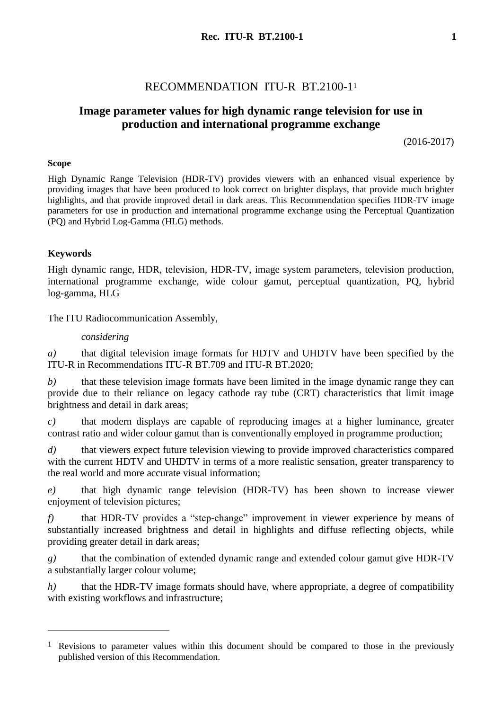# RECOMMENDATION ITU-R BT.2100-1<sup>1</sup>

# **Image parameter values for high dynamic range television for use in production and international programme exchange**

(2016-2017)

## **Scope**

High Dynamic Range Television (HDR-TV) provides viewers with an enhanced visual experience by providing images that have been produced to look correct on brighter displays, that provide much brighter highlights, and that provide improved detail in dark areas. This Recommendation specifies HDR-TV image parameters for use in production and international programme exchange using the Perceptual Quantization (PQ) and Hybrid Log-Gamma (HLG) methods.

## **Keywords**

<u>.</u>

High dynamic range, HDR, television, HDR-TV, image system parameters, television production, international programme exchange, wide colour gamut, perceptual quantization, PQ, hybrid log-gamma, HLG

The ITU Radiocommunication Assembly,

#### *considering*

*a)* that digital television image formats for HDTV and UHDTV have been specified by the ITU-R in Recommendations ITU-R BT.709 and ITU-R BT.2020;

*b)* that these television image formats have been limited in the image dynamic range they can provide due to their reliance on legacy cathode ray tube (CRT) characteristics that limit image brightness and detail in dark areas;

*c)* that modern displays are capable of reproducing images at a higher luminance, greater contrast ratio and wider colour gamut than is conventionally employed in programme production;

*d)* that viewers expect future television viewing to provide improved characteristics compared with the current HDTV and UHDTV in terms of a more realistic sensation, greater transparency to the real world and more accurate visual information;

*e)* that high dynamic range television (HDR-TV) has been shown to increase viewer enjoyment of television pictures;

*f)* that HDR-TV provides a "step-change" improvement in viewer experience by means of substantially increased brightness and detail in highlights and diffuse reflecting objects, while providing greater detail in dark areas;

*g)* that the combination of extended dynamic range and extended colour gamut give HDR-TV a substantially larger colour volume;

*h*) that the HDR-TV image formats should have, where appropriate, a degree of compatibility with existing workflows and infrastructure;

<sup>&</sup>lt;sup>1</sup> Revisions to parameter values within this document should be compared to those in the previously published version of this Recommendation.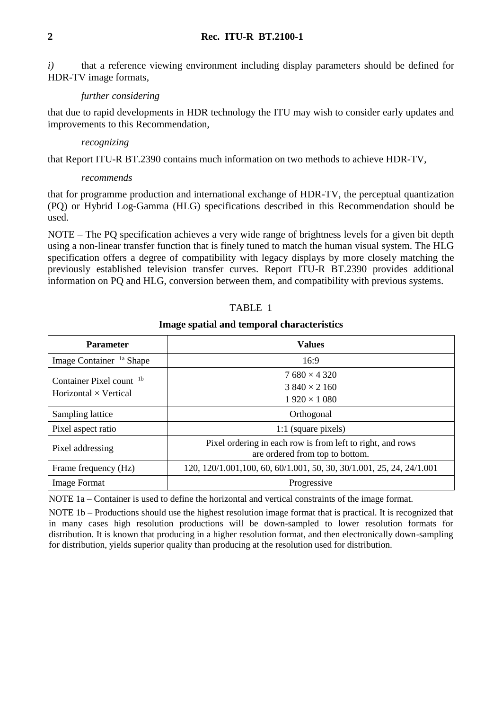*i*) that a reference viewing environment including display parameters should be defined for HDR-TV image formats,

## *further considering*

that due to rapid developments in HDR technology the ITU may wish to consider early updates and improvements to this Recommendation,

## *recognizing*

that Report ITU-R BT.2390 contains much information on two methods to achieve HDR-TV,

## *recommends*

that for programme production and international exchange of HDR-TV, the perceptual quantization (PQ) or Hybrid Log-Gamma (HLG) specifications described in this Recommendation should be used.

NOTE – The PQ specification achieves a very wide range of brightness levels for a given bit depth using a non-linear transfer function that is finely tuned to match the human visual system. The HLG specification offers a degree of compatibility with legacy displays by more closely matching the previously established television transfer curves. Report ITU-R BT.2390 provides additional information on PQ and HLG, conversion between them, and compatibility with previous systems.

## TABLE 1

## **Image spatial and temporal characteristics**

| <b>Parameter</b>                    | <b>Values</b>                                                                                 |  |
|-------------------------------------|-----------------------------------------------------------------------------------------------|--|
| Image Container <sup>1a</sup> Shape | 16:9                                                                                          |  |
| Container Pixel count <sup>1b</sup> | $7680 \times 4320$                                                                            |  |
| Horizontal $\times$ Vertical        | $3840 \times 2160$                                                                            |  |
|                                     | $1920 \times 1080$                                                                            |  |
| Sampling lattice                    | Orthogonal                                                                                    |  |
| Pixel aspect ratio                  | 1:1 (square pixels)                                                                           |  |
| Pixel addressing                    | Pixel ordering in each row is from left to right, and rows<br>are ordered from top to bottom. |  |
| Frame frequency (Hz)                | 120, 120/1.001, 100, 60, 60/1.001, 50, 30, 30/1.001, 25, 24, 24/1.001                         |  |
| <b>Image Format</b>                 | Progressive                                                                                   |  |

NOTE 1a – Container is used to define the horizontal and vertical constraints of the image format.

NOTE 1b – Productions should use the highest resolution image format that is practical. It is recognized that in many cases high resolution productions will be down-sampled to lower resolution formats for distribution. It is known that producing in a higher resolution format, and then electronically down-sampling for distribution, yields superior quality than producing at the resolution used for distribution.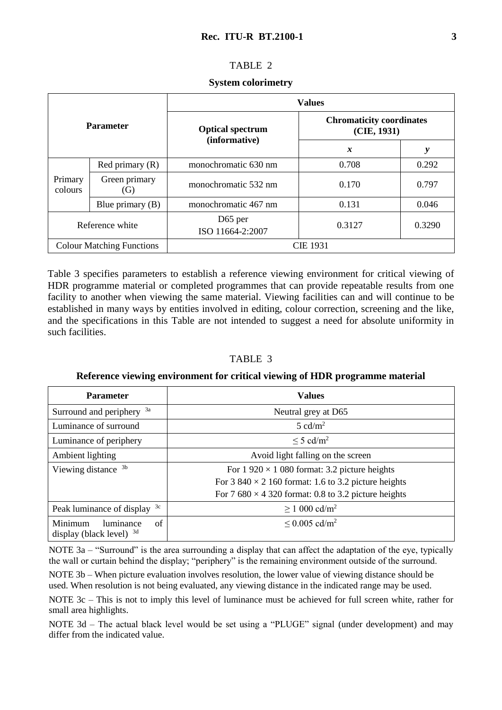## TABLE 2

#### **System colorimetry**

| <b>Parameter</b>                 |                      | <b>Values</b>                            |                                                |        |  |
|----------------------------------|----------------------|------------------------------------------|------------------------------------------------|--------|--|
|                                  |                      | <b>Optical spectrum</b><br>(informative) | <b>Chromaticity coordinates</b><br>(CIE, 1931) |        |  |
|                                  |                      |                                          | $\boldsymbol{x}$                               | y      |  |
| Primary<br>colours               | Red primary $(R)$    | monochromatic 630 nm                     | 0.708                                          | 0.292  |  |
|                                  | Green primary<br>(G) | monochromatic 532 nm                     | 0.170                                          | 0.797  |  |
|                                  | Blue primary $(B)$   | monochromatic 467 nm                     | 0.131                                          | 0.046  |  |
| Reference white                  |                      | D <sub>65</sub> per<br>ISO 11664-2:2007  | 0.3127                                         | 0.3290 |  |
| <b>Colour Matching Functions</b> |                      |                                          | <b>CIE 1931</b>                                |        |  |

Table 3 specifies parameters to establish a reference viewing environment for critical viewing of HDR programme material or completed programmes that can provide repeatable results from one facility to another when viewing the same material. Viewing facilities can and will continue to be established in many ways by entities involved in editing, colour correction, screening and the like, and the specifications in this Table are not intended to suggest a need for absolute uniformity in such facilities.

## TABLE 3

## **Reference viewing environment for critical viewing of HDR programme material**

| <b>Parameter</b>                                         | <b>Values</b>                                                                                                                                                                        |  |
|----------------------------------------------------------|--------------------------------------------------------------------------------------------------------------------------------------------------------------------------------------|--|
| Surround and periphery <sup>3a</sup>                     | Neutral grey at D65                                                                                                                                                                  |  |
| Luminance of surround                                    | $5 \text{ cd/m}^2$                                                                                                                                                                   |  |
| Luminance of periphery                                   | $\leq$ 5 cd/m <sup>2</sup>                                                                                                                                                           |  |
| Ambient lighting                                         | Avoid light falling on the screen                                                                                                                                                    |  |
| Viewing distance <sup>3b</sup>                           | For $1\,920 \times 1\,080$ format: 3.2 picture heights<br>For 3 840 $\times$ 2 160 format: 1.6 to 3.2 picture heights<br>For 7 680 $\times$ 4 320 format: 0.8 to 3.2 picture heights |  |
| 3c<br>Peak luminance of display                          | $\geq$ 1 000 cd/m <sup>2</sup>                                                                                                                                                       |  |
| Minimum<br>of<br>luminance<br>display (black level) $3d$ | $\leq 0.005$ cd/m <sup>2</sup>                                                                                                                                                       |  |

NOTE 3a – "Surround" is the area surrounding a display that can affect the adaptation of the eye, typically the wall or curtain behind the display; "periphery" is the remaining environment outside of the surround.

NOTE 3b – When picture evaluation involves resolution, the lower value of viewing distance should be used. When resolution is not being evaluated, any viewing distance in the indicated range may be used.

NOTE 3c – This is not to imply this level of luminance must be achieved for full screen white, rather for small area highlights.

NOTE 3d – The actual black level would be set using a "PLUGE" signal (under development) and may differ from the indicated value.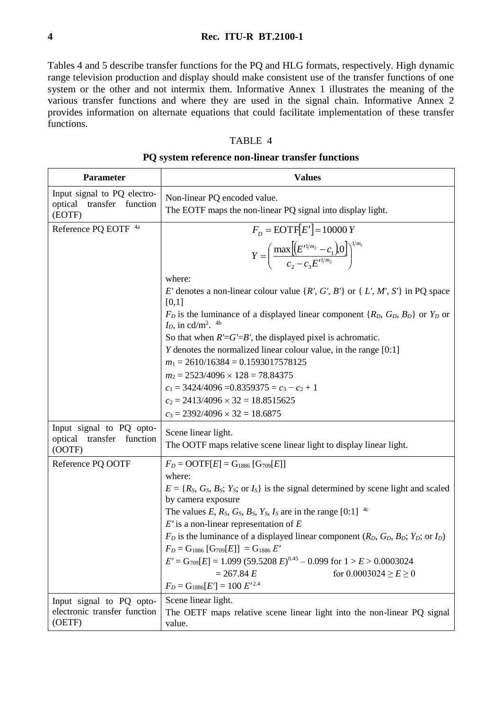Tables 4 and 5 describe transfer functions for the PQ and HLG formats, respectively. High dynamic range television production and display should make consistent use of the transfer functions of one system or the other and not intermix them. Informative Annex 1 illustrates the meaning of the various transfer functions and where they are used in the signal chain. Informative Annex 2 provides information on alternate equations that could facilitate implementation of these transfer functions.

## TABLE 4

## **PQ system reference non-linear transfer functions**

| <b>Parameter</b>                                                      | <b>Values</b>                                                                                                                                |  |
|-----------------------------------------------------------------------|----------------------------------------------------------------------------------------------------------------------------------------------|--|
| Input signal to PQ electro-<br>optical<br>transfer function<br>(EOTF) | Non-linear PQ encoded value.<br>The EOTF maps the non-linear PQ signal into display light.                                                   |  |
| Reference PQ EOTF 4a                                                  | $F_D = \text{EOTF}[E'] = 10000 Y$                                                                                                            |  |
|                                                                       | $Y = \left(\frac{\max\left[\left(E'^{1/m_2} - c_1\right)0\right]}{c_2 - c_2 E'^{1/m_2}}\right)^{1/m_1}$                                      |  |
|                                                                       | where:                                                                                                                                       |  |
|                                                                       | E' denotes a non-linear colour value $\{R', G', B'\}$ or $\{L', M', S'\}$ in PQ space<br>[0,1]                                               |  |
|                                                                       | $F_D$ is the luminance of a displayed linear component { $R_D$ , $G_D$ , $B_D$ } or $Y_D$ or<br>$I_D$ , in cd/m <sup>2</sup> . <sup>4b</sup> |  |
|                                                                       | So that when $R' = G' = B'$ , the displayed pixel is achromatic.                                                                             |  |
|                                                                       | $Y$ denotes the normalized linear colour value, in the range $[0:1]$                                                                         |  |
|                                                                       | $m_1 = 2610/16384 = 0.1593017578125$                                                                                                         |  |
|                                                                       | $m_2 = 2523/4096 \times 128 = 78.84375$                                                                                                      |  |
|                                                                       | $c_1 = 3424/4096 = 0.8359375 = c_3 - c_2 + 1$                                                                                                |  |
|                                                                       | $c_2 = 2413/4096 \times 32 = 18.8515625$                                                                                                     |  |
|                                                                       | $c_3 = 2392/4096 \times 32 = 18.6875$                                                                                                        |  |
| Input signal to PQ opto-<br>transfer function<br>optical<br>(OOTF)    | Scene linear light.<br>The OOTF maps relative scene linear light to display linear light.                                                    |  |
| Reference PQ OOTF                                                     | $F_D = \text{OOTF}[E] = G_{1886} [G_{709}[E]]$                                                                                               |  |
|                                                                       | where:                                                                                                                                       |  |
|                                                                       | $E = \{R_S, G_S, B_S; Y_S; \text{ or } I_S\}$ is the signal determined by scene light and scaled<br>by camera exposure                       |  |
|                                                                       | The values E, R <sub>S</sub> , G <sub>s</sub> , B <sub>s</sub> , Y <sub>s</sub> , I <sub>s</sub> are in the range [0:1] <sup>4c</sup>        |  |
|                                                                       | $E'$ is a non-linear representation of $E$                                                                                                   |  |
|                                                                       | $F_D$ is the luminance of a displayed linear component ( $R_D$ , $G_D$ , $B_D$ ; $Y_D$ ; or $I_D$ )                                          |  |
|                                                                       | $F_D = G_{1886}$ [ $G_{709}[E]$ ] = $G_{1886}$ E'                                                                                            |  |
|                                                                       | $E' = G_{709}[E] = 1.099 (59.5208 E)^{0.45} - 0.099$ for $1 > E > 0.0003024$                                                                 |  |
|                                                                       | $= 267.84 E$<br>for $0.0003024 \ge E \ge 0$<br>$F_D = G_{1886}[E^{\prime}] = 100 \ E^{\prime\,2.4}$                                          |  |
|                                                                       |                                                                                                                                              |  |
| Input signal to PQ opto-<br>electronic transfer function              | Scene linear light.                                                                                                                          |  |
| (OETF)                                                                | The OETF maps relative scene linear light into the non-linear PQ signal<br>value.                                                            |  |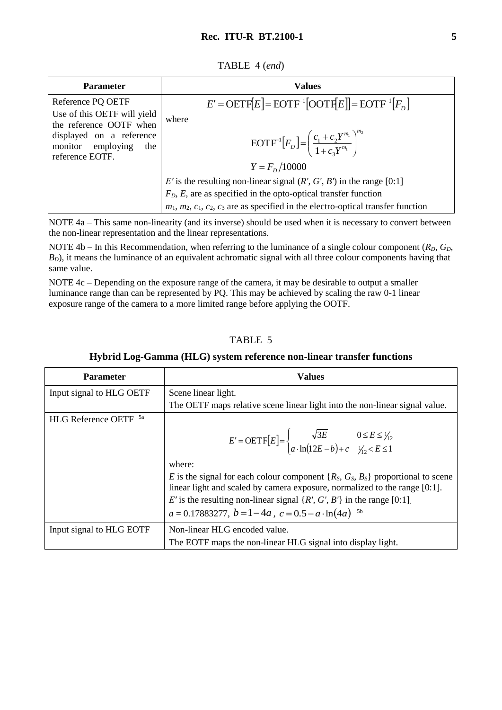| TABLE 4 (end) |  |  |
|---------------|--|--|
|---------------|--|--|

| <b>Parameter</b>            | <b>Values</b>                                                                                   |
|-----------------------------|-------------------------------------------------------------------------------------------------|
| Reference PQ OETF           | $E' = \text{OETF}[E] = \text{EOTF}^{-1}[\text{OOTF}[E]] = \text{EOTF}^{-1}[F_D]$                |
| Use of this OETF will yield | where                                                                                           |
| the reference OOTF when     | $\text{EOTF}^{-1}[F_D] = \left(\frac{c_1 + c_2 Y^{m_1}}{1 + c_2 Y^{m_1}}\right)^{m_2}$          |
| displayed on a reference    | $Y = Fn/10000$                                                                                  |
| monitor employing           | E' is the resulting non-linear signal $(R', G', B')$ in the range [0:1]                         |
| the                         | $F_D, E$ , are as specified in the opto-optical transfer function                               |
| reference EOTF.             | $m_1$ , $m_2$ , $c_1$ , $c_2$ , $c_3$ are as specified in the electro-optical transfer function |

NOTE 4a – This same non-linearity (and its inverse) should be used when it is necessary to convert between the non-linear representation and the linear representations.

NOTE 4b – In this Recommendation, when referring to the luminance of a single colour component  $(R_D, G_D,$ *B*<sub>*D*</sub>), it means the luminance of an equivalent achromatic signal with all three colour components having that same value.

NOTE 4c – Depending on the exposure range of the camera, it may be desirable to output a smaller luminance range than can be represented by PQ. This may be achieved by scaling the raw 0-1 linear exposure range of the camera to a more limited range before applying the OOTF.

# TABLE 5

| <b>Parameter</b>                 | <b>Values</b>                                                                                                                                                                                                                                   |  |
|----------------------------------|-------------------------------------------------------------------------------------------------------------------------------------------------------------------------------------------------------------------------------------------------|--|
| Input signal to HLG OETF         | Scene linear light.                                                                                                                                                                                                                             |  |
|                                  | The OETF maps relative scene linear light into the non-linear signal value.                                                                                                                                                                     |  |
| HLG Reference OETF <sup>5a</sup> |                                                                                                                                                                                                                                                 |  |
|                                  | $E' = \text{OETF}[E] = \begin{cases} \sqrt{3E} & 0 \le E \le \frac{1}{12} \\ a \cdot \ln(12E - b) + c & \frac{1}{12} \le E \le 1 \end{cases}$                                                                                                   |  |
|                                  | where:                                                                                                                                                                                                                                          |  |
|                                  | E is the signal for each colour component $\{R_S, G_S, B_S\}$ proportional to scene<br>linear light and scaled by camera exposure, normalized to the range [0:1].<br>E' is the resulting non-linear signal $\{R', G', B'\}$ in the range [0:1]. |  |
|                                  | $a = 0.17883277$ , $b = 1-4a$ , $c = 0.5-a \cdot \ln(4a)$ <sup>5b</sup>                                                                                                                                                                         |  |
| Input signal to HLG EOTF         | Non-linear HLG encoded value.                                                                                                                                                                                                                   |  |
|                                  | The EOTF maps the non-linear HLG signal into display light.                                                                                                                                                                                     |  |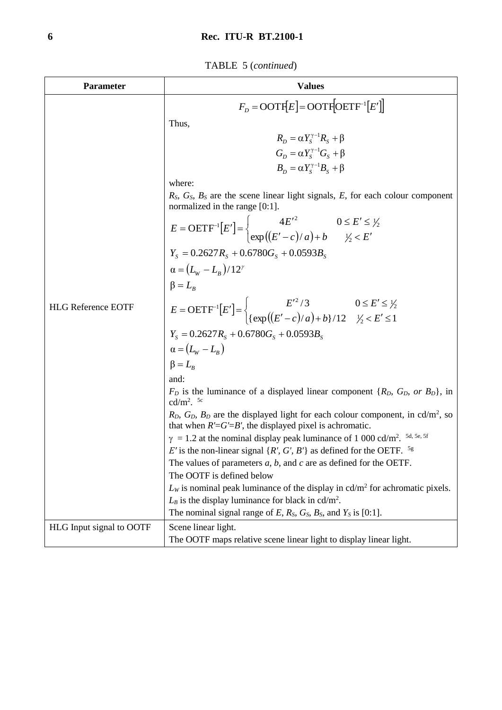TABLE 5 (*continued*)

| Parameter                 | <b>Values</b>                                                                                                                                                       |  |  |
|---------------------------|---------------------------------------------------------------------------------------------------------------------------------------------------------------------|--|--|
|                           | $F_p = \text{OOTF}[E] = \text{OOTF}[\text{OETF}^{-1}[E']]$                                                                                                          |  |  |
|                           | Thus,                                                                                                                                                               |  |  |
|                           | $R_{\rm p} = \alpha Y_{\rm s}^{\gamma - 1} R_{\rm s} + \beta$                                                                                                       |  |  |
|                           | $G_D = \alpha Y_s^{\gamma - 1} G_S + \beta$                                                                                                                         |  |  |
|                           | $B_{\rm p} = \alpha Y_{\rm s}^{\gamma -1} B_{\rm s} + \beta$                                                                                                        |  |  |
|                           |                                                                                                                                                                     |  |  |
|                           | where:<br>$R_S$ , $G_S$ , $B_S$ are the scene linear light signals, E, for each colour component<br>normalized in the range [0:1].                                  |  |  |
|                           | $E = \text{OETF}^{-1}[E'] = \begin{cases} 4E'^2 & 0 \le E' \le \frac{1}{2} \\ \exp((E' - c)/a) + b & \frac{1}{2} \le E' \end{cases}$                                |  |  |
|                           |                                                                                                                                                                     |  |  |
|                           | $Y_s = 0.2627 R_s + 0.6780 G_s + 0.0593 B_s$                                                                                                                        |  |  |
|                           | $\alpha = (L_{W} - L_{B})/12^{\gamma}$                                                                                                                              |  |  |
|                           | $\beta = L_B$                                                                                                                                                       |  |  |
| <b>HLG Reference EOTF</b> | $E = \text{OETF}^{-1}[E'] = \begin{cases} E'^2/3 & 0 \le E' \le \frac{1}{2} \\ {\exp((E'-c)/a) + b}/12 & \frac{1}{2} < E' \le 1 \end{cases}$                        |  |  |
|                           | $Y_s = 0.2627 R_s + 0.6780 G_s + 0.0593 B_s$                                                                                                                        |  |  |
|                           | $\alpha = (L_{\rm w} - L_{\rm B})$                                                                                                                                  |  |  |
|                           | $\beta = L_{B}$                                                                                                                                                     |  |  |
|                           | and:                                                                                                                                                                |  |  |
|                           | $F_D$ is the luminance of a displayed linear component { $R_D$ , $G_D$ , or $B_D$ }, in<br>cd/m <sup>2</sup> . <sup>5c</sup>                                        |  |  |
|                           | $R_D$ , $G_D$ , $B_D$ are the displayed light for each colour component, in cd/m <sup>2</sup> , so<br>that when $R' = G' = B'$ , the displayed pixel is achromatic. |  |  |
|                           | 5d, 5e, 5f<br>$\gamma = 1.2$ at the nominal display peak luminance of 1 000 cd/m <sup>2</sup> .                                                                     |  |  |
|                           | E' is the non-linear signal $\{R', G', B'\}$ as defined for the OETF. <sup>5g</sup>                                                                                 |  |  |
|                           | The values of parameters $a, b$ , and $c$ are as defined for the OETF.                                                                                              |  |  |
|                           | The OOTF is defined below<br>$L_W$ is nominal peak luminance of the display in cd/m <sup>2</sup> for achromatic pixels.                                             |  |  |
|                           | $L_B$ is the display luminance for black in cd/m <sup>2</sup> .                                                                                                     |  |  |
|                           | The nominal signal range of $E$ , $R_s$ , $G_s$ , $B_s$ , and $Y_s$ is [0:1].                                                                                       |  |  |
| HLG Input signal to OOTF  | Scene linear light.                                                                                                                                                 |  |  |
|                           | The OOTF maps relative scene linear light to display linear light.                                                                                                  |  |  |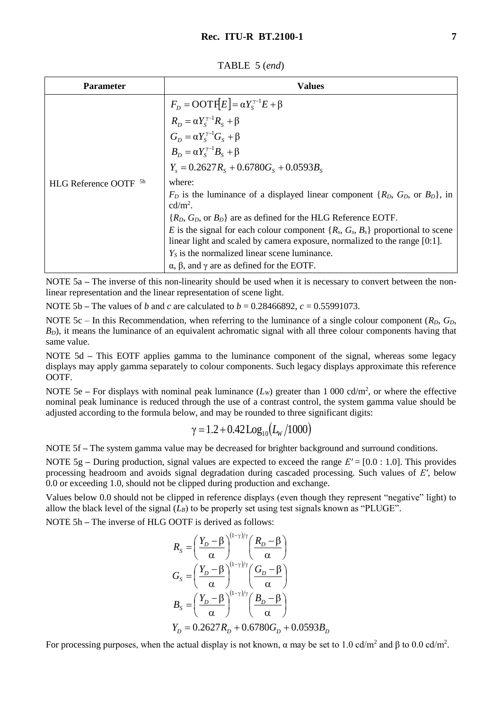TABLE 5 (*end*)

| <b>Parameter</b>          | Values                                                                                                                                                                                                  |
|---------------------------|---------------------------------------------------------------------------------------------------------------------------------------------------------------------------------------------------------|
|                           | $F_D = \text{OOTF}[E] = \alpha Y_S^{\gamma - 1} E + \beta$<br>$R_D = \alpha Y_S^{\gamma - 1} R_S + \beta$<br>$G_D = \alpha Y_S^{\gamma - 1} G_S + \beta$<br>$B_D = \alpha Y_S^{\gamma - 1} B_S + \beta$ |
|                           |                                                                                                                                                                                                         |
|                           |                                                                                                                                                                                                         |
|                           |                                                                                                                                                                                                         |
|                           | $Y_{s} = 0.2627 R_{s} + 0.6780 G_{s} + 0.0593 B_{s}$                                                                                                                                                    |
| <b>HLG Reference OOTF</b> | where:                                                                                                                                                                                                  |
|                           | $F_D$ is the luminance of a displayed linear component $\{R_D, G_D, \text{ or } B_D\}$ , in<br>$cd/m2$ .                                                                                                |
|                           | $\{R_D, G_D, \text{or } B_D\}$ are as defined for the HLG Reference EOTF.                                                                                                                               |
|                           | E is the signal for each colour component $\{R_s, G_s, B_s\}$ proportional to scene                                                                                                                     |
|                           | linear light and scaled by camera exposure, normalized to the range [0:1].                                                                                                                              |
|                           | $Y_s$ is the normalized linear scene luminance.                                                                                                                                                         |
|                           | $\alpha$ , $\beta$ , and $\gamma$ are as defined for the EOTF.                                                                                                                                          |

NOTE 5a **–** The inverse of this non-linearity should be used when it is necessary to convert between the nonlinear representation and the linear representation of scene light.

NOTE 5b **–** The values of *b* and *c* are calculated to *b* = 0.28466892, *c* = 0.55991073.

NOTE 5c – In this Recommendation, when referring to the luminance of a single colour component (*RD*, *GD*,  $B<sub>D</sub>$ ), it means the luminance of an equivalent achromatic signal with all three colour components having that same value.

NOTE 5d **–** This EOTF applies gamma to the luminance component of the signal, whereas some legacy displays may apply gamma separately to colour components. Such legacy displays approximate this reference **OOTF.** 

NOTE 5e – For displays with nominal peak luminance  $(L_w)$  greater than 1 000 cd/m<sup>2</sup>, or where the effective nominal peak luminance is reduced through the use of a contrast control, the system gamma value should be adjusted according to the formula below, and may be rounded to three significant digits:

$$
\gamma = 1.2 + 0.42 \log_{10}(L_{\rm W}/1000)
$$

NOTE 5f **–** The system gamma value may be decreased for brighter background and surround conditions.

NOTE 5g **–** During production, signal values are expected to exceed the range *E′* = [0.0 : 1.0]. This provides processing headroom and avoids signal degradation during cascaded processing. Such values of *E′*, below 0.0 or exceeding 1.0, should not be clipped during production and exchange.

Values below 0.0 should not be clipped in reference displays (even though they represent "negative" light) to allow the black level of the signal  $(L_B)$  to be properly set using test signals known as "PLUGE".

NOTE 5h **–** The inverse of HLG OOTF is derived as follows:

$$
R_{s} = \left(\frac{Y_{D} - \beta}{\alpha}\right)^{(1-\gamma)/\gamma} \left(\frac{R_{D} - \beta}{\alpha}\right)
$$
  
\n
$$
G_{s} = \left(\frac{Y_{D} - \beta}{\alpha}\right)^{(1-\gamma)/\gamma} \left(\frac{G_{D} - \beta}{\alpha}\right)
$$
  
\n
$$
B_{s} = \left(\frac{Y_{D} - \beta}{\alpha}\right)^{(1-\gamma)/\gamma} \left(\frac{B_{D} - \beta}{\alpha}\right)
$$
  
\n
$$
Y_{D} = 0.2627 R_{D} + 0.6780 G_{D} + 0.0593 B_{D}
$$

For processing purposes, when the actual display is not known,  $\alpha$  may be set to 1.0 cd/m<sup>2</sup> and  $\beta$  to 0.0 cd/m<sup>2</sup>.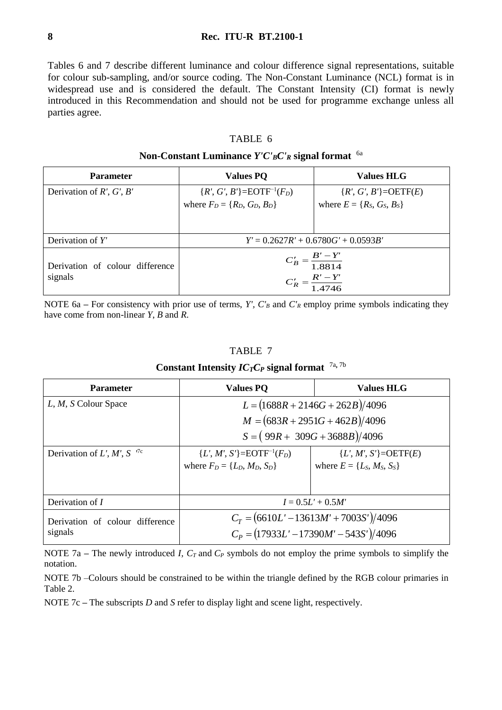Tables 6 and 7 describe different luminance and colour difference signal representations, suitable for colour sub-sampling, and/or source coding. The Non-Constant Luminance (NCL) format is in widespread use and is considered the default. The Constant Intensity (CI) format is newly introduced in this Recommendation and should not be used for programme exchange unless all parties agree.

## TABLE 6

## **Non-Constant Luminance** *Y'C'BC'<sup>R</sup>* **signal format**  6a

| <b>Parameter</b>                           | <b>Values PQ</b>                                                 | <b>Values HLG</b>                 |
|--------------------------------------------|------------------------------------------------------------------|-----------------------------------|
| Derivation of $R'$ , $G'$ , $B'$           | ${R', G', B'} = EOTF^{-1}(F_D)$                                  | $\{R', G', B'\} = \text{OETF}(E)$ |
|                                            | where $F_D = \{R_D, G_D, B_D\}$                                  | where $E = \{R_S, G_S, B_S\}$     |
|                                            |                                                                  |                                   |
| Derivation of $Y'$                         | $Y' = 0.2627R' + 0.6780G' + 0.0593B'$                            |                                   |
| Derivation of colour difference<br>signals | $C'_B = \frac{B' - Y'}{1.8814}$<br>$C'_R = \frac{R'-Y'}{1.4746}$ |                                   |

NOTE 6a – For consistency with prior use of terms, *Y'*,  $C'_B$  and  $C'_R$  employ prime symbols indicating they have come from non-linear *Y*, *B* and *R*.

#### TABLE 7

## **Constant Intensity** *ICTC<sup>P</sup>* **signal format**  7a**,** 7b

| <b>Parameter</b>                           | <b>Values PQ</b>                                                                     | <b>Values HLG</b>                                                |  |
|--------------------------------------------|--------------------------------------------------------------------------------------|------------------------------------------------------------------|--|
| L, M, S Colour Space                       | $L = (1688R + 2146G + 262B)/4096$                                                    |                                                                  |  |
|                                            | $M = (683R + 2951G + 462B)/4096$                                                     |                                                                  |  |
|                                            | $S = (99R + 309G + 3688B)/4096$                                                      |                                                                  |  |
| Derivation of $L', M', S$ <sup>7c</sup>    | ${L', M', S'} = EOTF^{-1}(F_D)$<br>where $F_D = \{L_D, M_D, S_D\}$                   | ${L', M', S'} = \text{OETF}(E)$<br>where $E = \{L_S, M_S, S_S\}$ |  |
| Derivation of $I$                          | $I = 0.5L' + 0.5M'$                                                                  |                                                                  |  |
| Derivation of colour difference<br>signals | $C_T = (6610L' - 13613M' + 7003S')/4096$<br>$C_p = (17933L' - 17390M' - 543S')/4096$ |                                                                  |  |

NOTE 7a **–** The newly introduced *I, CT* and *C<sup>P</sup>* symbols do not employ the prime symbols to simplify the notation.

NOTE 7b –Colours should be constrained to be within the triangle defined by the RGB colour primaries in Table 2.

NOTE 7c **–** The subscripts *D* and *S* refer to display light and scene light, respectively.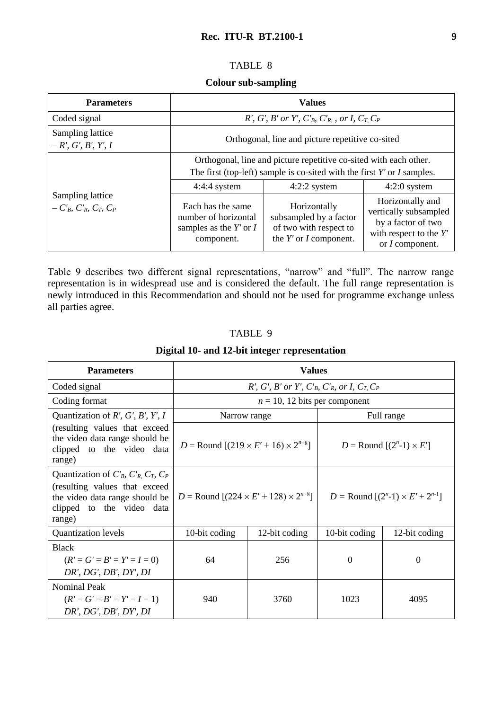## TABLE 8

## **Colour sub-sampling**

| <b>Parameters</b>                                            | <b>Values</b>                                                                                                                                                                                          |                                                                                                |                                                                                                                       |
|--------------------------------------------------------------|--------------------------------------------------------------------------------------------------------------------------------------------------------------------------------------------------------|------------------------------------------------------------------------------------------------|-----------------------------------------------------------------------------------------------------------------------|
| Coded signal                                                 | R', G', B' or Y', $C'_B$ , $C'_R$ , or I, $C_T$ , $C_P$                                                                                                                                                |                                                                                                |                                                                                                                       |
| Sampling lattice<br>$-R', G', B', Y', I$                     | Orthogonal, line and picture repetitive co-sited                                                                                                                                                       |                                                                                                |                                                                                                                       |
|                                                              | Orthogonal, line and picture repetitive co-sited with each other.<br>The first (top-left) sample is co-sited with the first $Y'$ or $I$ samples.<br>$4:4:4$ system<br>$4:2:2$ system<br>$4:2:0$ system |                                                                                                |                                                                                                                       |
| Sampling lattice<br>$-C'_{B}$ , $C'_{B}$ , $C_{T}$ , $C_{P}$ | Each has the same<br>number of horizontal<br>samples as the $Y'$ or $I$<br>component.                                                                                                                  | Horizontally<br>subsampled by a factor<br>of two with respect to<br>the $Y'$ or $I$ component. | Horizontally and<br>vertically subsampled<br>by a factor of two<br>with respect to the $Y'$<br>or <i>I</i> component. |

Table 9 describes two different signal representations, "narrow" and "full". The narrow range representation is in widespread use and is considered the default. The full range representation is newly introduced in this Recommendation and should not be used for programme exchange unless all parties agree.

## TABLE 9

| <b>Parameters</b>                                                                                                                                         | <b>Values</b>                                                                              |               |                                               |               |
|-----------------------------------------------------------------------------------------------------------------------------------------------------------|--------------------------------------------------------------------------------------------|---------------|-----------------------------------------------|---------------|
| Coded signal                                                                                                                                              | R', G', B' or Y', C' <sub>B</sub> , C' <sub>R</sub> , or I, C <sub>T,</sub> C <sub>P</sub> |               |                                               |               |
| Coding format                                                                                                                                             | $n = 10$ , 12 bits per component                                                           |               |                                               |               |
| Quantization of $R'$ , $G'$ , $B'$ , $Y'$ , $I$                                                                                                           | Narrow range                                                                               |               | Full range                                    |               |
| (resulting values that exceed<br>the video data range should be<br>clipped to the video data<br>range)                                                    | $D =$ Round $[(219 \times E' + 16) \times 2^{n-8}]$                                        |               | $D =$ Round $[(2^n-1) \times E']$             |               |
| Quantization of $C'_B$ , $C'_R$ , $C_T$ , $C_P$<br>(resulting values that exceed<br>the video data range should be<br>clipped to the video data<br>range) | $D =$ Round $[(224 \times E' + 128) \times 2^{n-8}]$                                       |               | $D =$ Round $[(2^{n}-1) \times E' + 2^{n-1}]$ |               |
| <b>Quantization levels</b>                                                                                                                                | 10-bit coding                                                                              | 12-bit coding | 10-bit coding                                 | 12-bit coding |
| <b>Black</b><br>$(R' = G' = B' = Y' = I = 0)$<br>DR', DG', DB', DY', DI                                                                                   | 64                                                                                         | 256           | $\theta$                                      | 0             |
| <b>Nominal Peak</b><br>$(R' = G' = B' = Y' = I = 1)$<br>DR', DG', DB', DY', DI                                                                            | 940                                                                                        | 3760          | 1023                                          | 4095          |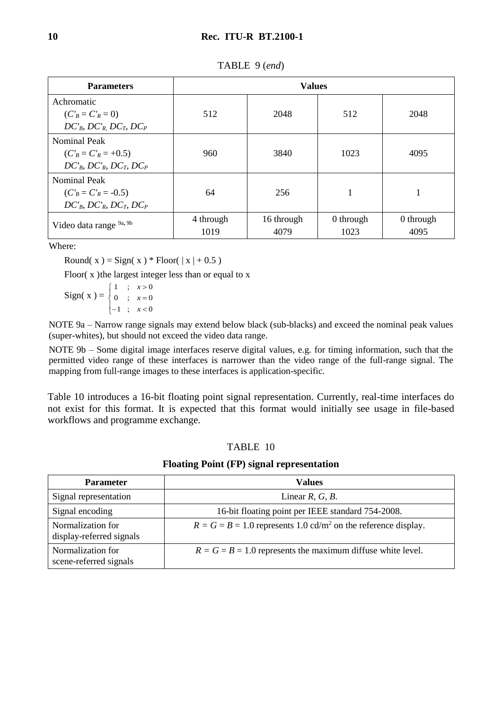| <b>Parameters</b>                                                                            | <b>Values</b>     |                    |                   |                   |
|----------------------------------------------------------------------------------------------|-------------------|--------------------|-------------------|-------------------|
| Achromatic<br>$(C'_B = C'_R = 0)$<br>$DC'_{B}$ , $DC'_{R}$ , $DC_{T}$ , $DC_{P}$             | 512               | 2048               | 512               | 2048              |
| <b>Nominal Peak</b><br>$(C'_B = C'_R = +0.5)$<br>$DC'_{B}$ , $DC'_{R}$ , $DC_{T}$ , $DC_{P}$ | 960               | 3840               | 1023              | 4095              |
| <b>Nominal Peak</b><br>$(C'_B = C'_R = -0.5)$<br>$DC'_{B}$ , $DC'_{R}$ , $DC_{T}$ , $DC_{P}$ | 64                | 256                | $\mathbf{1}$      |                   |
| Video data range 9a, 9b                                                                      | 4 through<br>1019 | 16 through<br>4079 | 0 through<br>1023 | 0 through<br>4095 |

TABLE 9 (*end*)

Where:

Round( x ) = Sign( x ) \* Floor(  $|x| + 0.5$ )

Floor( $x$ ) the largest integer less than or equal to  $x$ 

 $Sign(x) =$  $\overline{\mathcal{L}}$  $\left\{ \right.$  $\int$  $-1$ ;  $x <$  $=$  $\geq$  $1 ; x < 0$ 0 ;  $x=0$  $1 ; x > 0$ *x x x*

NOTE 9a – Narrow range signals may extend below black (sub-blacks) and exceed the nominal peak values (super-whites), but should not exceed the video data range.

NOTE 9b – Some digital image interfaces reserve digital values, e.g. for timing information, such that the permitted video range of these interfaces is narrower than the video range of the full-range signal. The mapping from full-range images to these interfaces is application-specific.

Table 10 introduces a 16-bit floating point signal representation. Currently, real-time interfaces do not exist for this format. It is expected that this format would initially see usage in file-based workflows and programme exchange.

## TABLE 10

#### **Floating Point (FP) signal representation**

| <b>Parameter</b>                              | <b>Values</b>                                                                |  |
|-----------------------------------------------|------------------------------------------------------------------------------|--|
| Signal representation                         | Linear $R, G, B$ .                                                           |  |
| Signal encoding                               | 16-bit floating point per IEEE standard 754-2008.                            |  |
| Normalization for<br>display-referred signals | $R = G = B = 1.0$ represents 1.0 cd/m <sup>2</sup> on the reference display. |  |
| Normalization for<br>scene-referred signals   | $R = G = B = 1.0$ represents the maximum diffuse white level.                |  |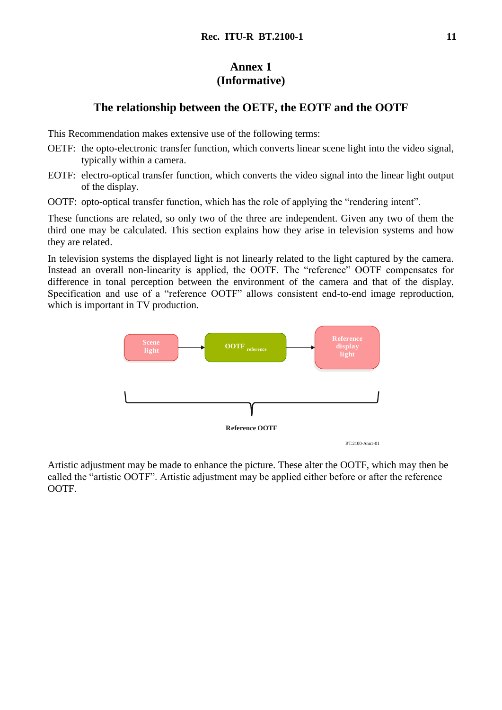# **Annex 1 (Informative)**

# **The relationship between the OETF, the EOTF and the OOTF**

This Recommendation makes extensive use of the following terms:

- OETF: the opto-electronic transfer function, which converts linear scene light into the video signal, typically within a camera.
- EOTF: electro-optical transfer function, which converts the video signal into the linear light output of the display.
- OOTF: opto-optical transfer function, which has the role of applying the "rendering intent".

These functions are related, so only two of the three are independent. Given any two of them the third one may be calculated. This section explains how they arise in television systems and how they are related.

In television systems the displayed light is not linearly related to the light captured by the camera. Instead an overall non-linearity is applied, the OOTF. The "reference" OOTF compensates for difference in tonal perception between the environment of the camera and that of the display. Specification and use of a "reference OOTF" allows consistent end-to-end image reproduction, which is important in TV production.



Artistic adjustment may be made to enhance the picture. These alter the OOTF, which may then be called the "artistic OOTF". Artistic adjustment may be applied either before or after the reference OOTF.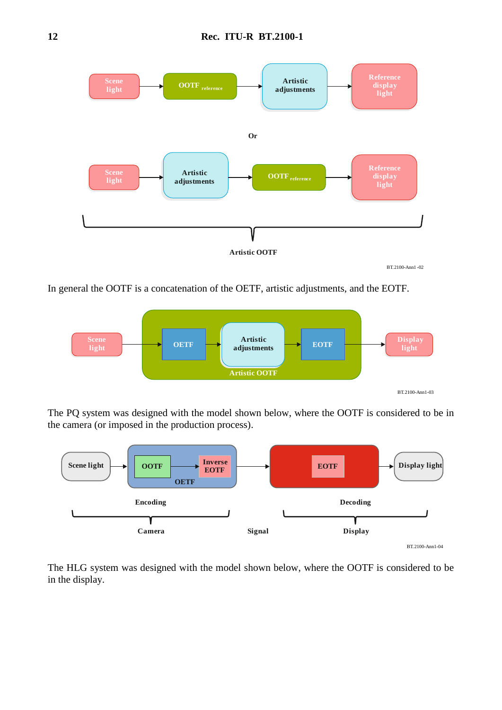

In general the OOTF is a concatenation of the OETF, artistic adjustments, and the EOTF.



The PQ system was designed with the model shown below, where the OOTF is considered to be in the camera (or imposed in the production process).



The HLG system was designed with the model shown below, where the OOTF is considered to be in the display.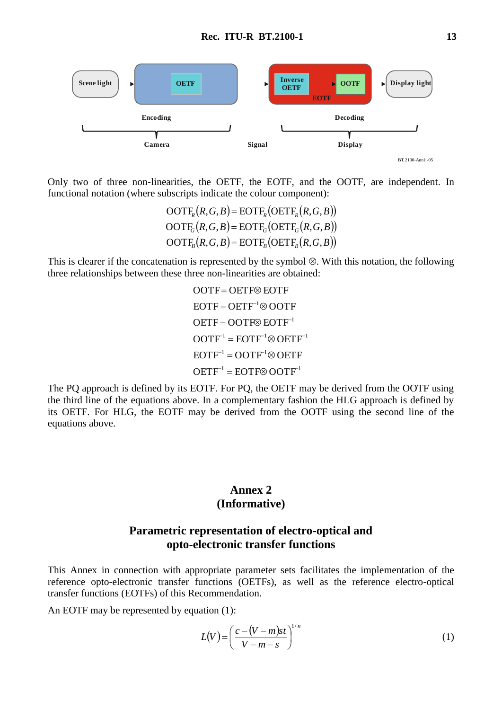

Only two of three non-linearities, the OETF, the EOTF, and the OOTF, are independent. In functional notation (where subscripts indicate the colour component):

> $\mathrm{OOTF}_R(R,G,B) = \mathrm{EOTF}_R(\mathrm{OETF}_R(R,G,B))$  $OOTF_G(R, G, B) = EOTF_G(OETF_G(R, G, B))$  $\mathrm{OOTF}_B(R,G,B) = \mathrm{EOTF}_B(\mathrm{OETF}_B(R,G,B))$

This is clearer if the concatenation is represented by the symbol  $\otimes$ . With this notation, the following three relationships between these three non-linearities are obtained:

> $\mathrm{OETF}^{-1} = \mathrm{EOTF} \otimes \mathrm{OOTF}^{-1}$  $EOTF^{-1} = OOTF^{-1} \otimes OETF$  $\mathrm{OOTF}^1 = \mathrm{EOTF}^{-1} \otimes \mathrm{OETF}^{-1}$  $OETF = OOTF \otimes EOTF^{-1}$  $EOTF = OETF^{-1} \otimes OOTF$ OOTF = OETF<sup>®</sup> EOTF

The PQ approach is defined by its EOTF. For PQ, the OETF may be derived from the OOTF using the third line of the equations above. In a complementary fashion the HLG approach is defined by its OETF. For HLG, the EOTF may be derived from the OOTF using the second line of the equations above.

# **Annex 2 (Informative)**

# **Parametric representation of electro-optical and opto-electronic transfer functions**

This Annex in connection with appropriate parameter sets facilitates the implementation of the reference opto-electronic transfer functions (OETFs), as well as the reference electro-optical transfer functions (EOTFs) of this Recommendation.

An EOTF may be represented by equation (1):

$$
L(V) = \left(\frac{c - (V - m)st}{V - m - s}\right)^{1/n}
$$
\n(1)